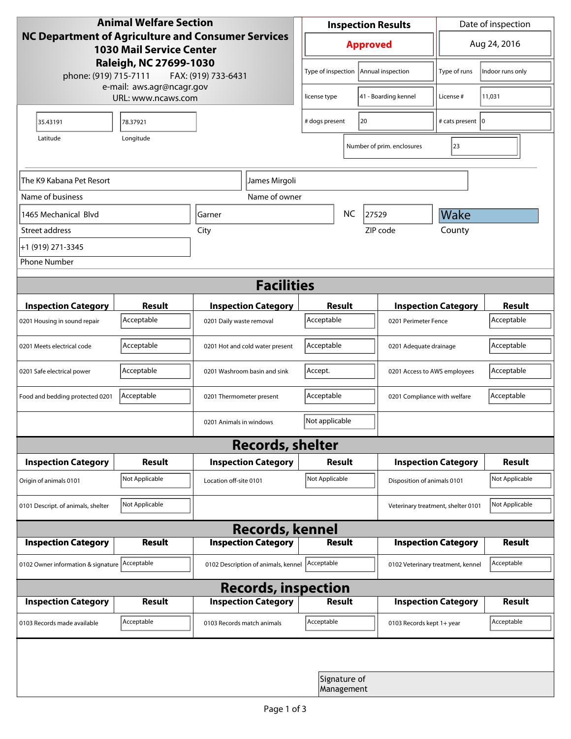| <b>Animal Welfare Section</b><br><b>NC Department of Agriculture and Consumer Services</b><br><b>1030 Mail Service Center</b><br>Raleigh, NC 27699-1030<br>phone: (919) 715-7111<br>FAX: (919) 733-6431 |                                                 |                                     | <b>Inspection Results</b>                  |                            |                                    | Date of inspection          |                  |  |
|---------------------------------------------------------------------------------------------------------------------------------------------------------------------------------------------------------|-------------------------------------------------|-------------------------------------|--------------------------------------------|----------------------------|------------------------------------|-----------------------------|------------------|--|
|                                                                                                                                                                                                         |                                                 |                                     | <b>Approved</b>                            |                            |                                    | Aug 24, 2016                |                  |  |
|                                                                                                                                                                                                         |                                                 |                                     | Type of inspection                         |                            | Annual inspection                  | Type of runs                | Indoor runs only |  |
|                                                                                                                                                                                                         | e-mail: aws.agr@ncagr.gov<br>URL: www.ncaws.com |                                     | license type                               |                            | 41 - Boarding kennel               | License #                   | 11,031           |  |
| 35.43191                                                                                                                                                                                                | 78.37921                                        |                                     | 20<br># dogs present                       |                            |                                    | # cats present   0          |                  |  |
| Latitude                                                                                                                                                                                                | Longitude                                       |                                     |                                            |                            | Number of prim. enclosures         | 23                          |                  |  |
| The K9 Kabana Pet Resort                                                                                                                                                                                |                                                 | James Mirgoli                       |                                            |                            |                                    |                             |                  |  |
| Name of business                                                                                                                                                                                        |                                                 | Name of owner                       |                                            |                            |                                    |                             |                  |  |
| 1465 Mechanical Blyd                                                                                                                                                                                    |                                                 | Garner                              |                                            | <b>NC</b>                  | 27529                              | Wake                        |                  |  |
| Street address                                                                                                                                                                                          |                                                 | City                                |                                            |                            | ZIP code                           | County                      |                  |  |
| +1 (919) 271-3345                                                                                                                                                                                       |                                                 |                                     |                                            |                            |                                    |                             |                  |  |
| <b>Phone Number</b>                                                                                                                                                                                     |                                                 |                                     |                                            |                            |                                    |                             |                  |  |
| <b>Facilities</b>                                                                                                                                                                                       |                                                 |                                     |                                            |                            |                                    |                             |                  |  |
| <b>Inspection Category</b>                                                                                                                                                                              | <b>Result</b>                                   | <b>Inspection Category</b>          | Result                                     |                            |                                    | <b>Inspection Category</b>  | <b>Result</b>    |  |
| 0201 Housing in sound repair                                                                                                                                                                            | Acceptable                                      | 0201 Daily waste removal            | Acceptable<br>0201 Perimeter Fence         |                            |                                    | Acceptable                  |                  |  |
| 0201 Meets electrical code                                                                                                                                                                              | Acceptable                                      | 0201 Hot and cold water present     | Acceptable<br>0201 Adequate drainage       |                            |                                    | Acceptable                  |                  |  |
| 0201 Safe electrical power                                                                                                                                                                              | Acceptable                                      | 0201 Washroom basin and sink        | Accept.<br>0201 Access to AWS employees    |                            |                                    | Acceptable                  |                  |  |
| Food and bedding protected 0201                                                                                                                                                                         | Acceptable                                      | 0201 Thermometer present            | Acceptable<br>0201 Compliance with welfare |                            |                                    | Acceptable                  |                  |  |
|                                                                                                                                                                                                         |                                                 | 0201 Animals in windows             | Not applicable                             |                            |                                    |                             |                  |  |
| <b>Records, shelter</b>                                                                                                                                                                                 |                                                 |                                     |                                            |                            |                                    |                             |                  |  |
| <b>Inspection Category</b>                                                                                                                                                                              | Result                                          | <b>Inspection Category</b>          | Result                                     |                            |                                    | <b>Inspection Category</b>  | <b>Result</b>    |  |
| Origin of animals 0101                                                                                                                                                                                  | Not Applicable                                  | Location off-site 0101              | Not Applicable                             |                            |                                    | Disposition of animals 0101 |                  |  |
| 0101 Descript. of animals, shelter                                                                                                                                                                      | Not Applicable                                  |                                     |                                            |                            | Veterinary treatment, shelter 0101 |                             | Not Applicable   |  |
| <b>Records, kennel</b>                                                                                                                                                                                  |                                                 |                                     |                                            |                            |                                    |                             |                  |  |
| <b>Inspection Category</b>                                                                                                                                                                              | <b>Result</b>                                   | <b>Inspection Category</b>          | <b>Result</b>                              |                            |                                    | <b>Inspection Category</b>  | <b>Result</b>    |  |
| 0102 Owner information & signature Acceptable                                                                                                                                                           |                                                 | 0102 Description of animals, kennel | Acceptable                                 |                            | 0102 Veterinary treatment, kennel  |                             | Acceptable       |  |
| <b>Records, inspection</b>                                                                                                                                                                              |                                                 |                                     |                                            |                            |                                    |                             |                  |  |
| <b>Inspection Category</b>                                                                                                                                                                              | <b>Result</b>                                   | <b>Inspection Category</b>          | Result                                     |                            |                                    | <b>Inspection Category</b>  | <b>Result</b>    |  |
| 0103 Records made available                                                                                                                                                                             | Acceptable                                      | 0103 Records match animals          | Acceptable                                 |                            | 0103 Records kept 1+ year          |                             | Acceptable       |  |
|                                                                                                                                                                                                         |                                                 |                                     |                                            |                            |                                    |                             |                  |  |
|                                                                                                                                                                                                         |                                                 |                                     |                                            | Signature of<br>Management |                                    |                             |                  |  |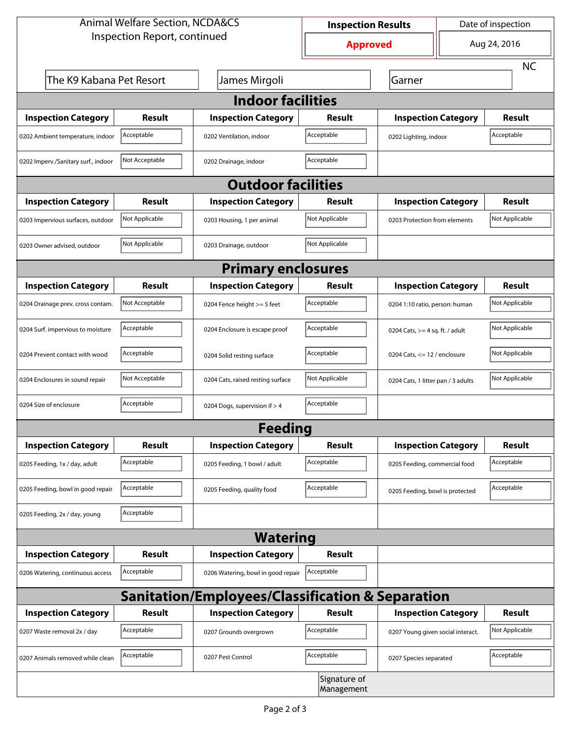| <b>Animal Welfare Section, NCDA&amp;CS</b> |                |                                                  | <b>Inspection Results</b>  |                                     | Date of inspection |                |  |  |
|--------------------------------------------|----------------|--------------------------------------------------|----------------------------|-------------------------------------|--------------------|----------------|--|--|
| Inspection Report, continued               |                |                                                  | <b>Approved</b>            |                                     | Aug 24, 2016       |                |  |  |
|                                            |                |                                                  |                            |                                     |                    | <b>NC</b>      |  |  |
| The K9 Kabana Pet Resort                   |                | James Mirgoli                                    |                            | Garner                              |                    |                |  |  |
| <b>Indoor facilities</b>                   |                |                                                  |                            |                                     |                    |                |  |  |
| <b>Inspection Category</b>                 | Result         | <b>Inspection Category</b>                       | Result                     | <b>Inspection Category</b>          |                    | <b>Result</b>  |  |  |
| 0202 Ambient temperature, indoor           | Acceptable     | 0202 Ventilation, indoor                         | Acceptable                 | Acceptable<br>0202 Lighting, indoor |                    |                |  |  |
| 0202 Imperv./Sanitary surf., indoor        | Not Acceptable | 0202 Drainage, indoor                            | Acceptable                 |                                     |                    |                |  |  |
|                                            |                | <b>Outdoor facilities</b>                        |                            |                                     |                    |                |  |  |
| <b>Inspection Category</b>                 | Result         | <b>Inspection Category</b>                       | Result                     | <b>Inspection Category</b>          |                    | Result         |  |  |
| 0203 Impervious surfaces, outdoor          | Not Applicable | 0203 Housing, 1 per animal                       | Not Applicable             | 0203 Protection from elements       |                    | Not Applicable |  |  |
| 0203 Owner advised, outdoor                | Not Applicable | 0203 Drainage, outdoor                           | Not Applicable             |                                     |                    |                |  |  |
|                                            |                | <b>Primary enclosures</b>                        |                            |                                     |                    |                |  |  |
| <b>Inspection Category</b>                 | Result         | <b>Inspection Category</b>                       | Result                     | <b>Inspection Category</b>          |                    | Result         |  |  |
| 0204 Drainage prev. cross contam.          | Not Acceptable | 0204 Fence height >= 5 feet                      | Acceptable                 | 0204 1:10 ratio, person: human      |                    | Not Applicable |  |  |
| 0204 Surf. impervious to moisture          | Acceptable     | 0204 Enclosure is escape proof                   | Acceptable                 | 0204 Cats, $>=$ 4 sq. ft. / adult   |                    | Not Applicable |  |  |
| 0204 Prevent contact with wood             | Acceptable     | 0204 Solid resting surface                       | Acceptable                 | 0204 Cats, $<= 12$ / enclosure      |                    | Not Applicable |  |  |
| 0204 Enclosures in sound repair            | Not Acceptable | 0204 Cats, raised resting surface                | Not Applicable             | 0204 Cats, 1 litter pan / 3 adults  |                    | Not Applicable |  |  |
| 0204 Size of enclosure                     | Acceptable     | 0204 Dogs, supervision if > 4                    | Acceptable                 |                                     |                    |                |  |  |
|                                            |                | <b>Feeding</b>                                   |                            |                                     |                    |                |  |  |
| <b>Inspection Category</b>                 | Result         | <b>Inspection Category</b>                       | Result                     | <b>Inspection Category</b>          |                    | Result         |  |  |
| 0205 Feeding, 1x / day, adult              | Acceptable     | 0205 Feeding, 1 bowl / adult                     | Acceptable                 | 0205 Feeding, commercial food       |                    | Acceptable     |  |  |
| 0205 Feeding, bowl in good repair          | Acceptable     | 0205 Feeding, quality food                       | Acceptable                 | 0205 Feeding, bowl is protected     |                    | Acceptable     |  |  |
| 0205 Feeding, 2x / day, young              | Acceptable     |                                                  |                            |                                     |                    |                |  |  |
|                                            |                | <b>Watering</b>                                  |                            |                                     |                    |                |  |  |
| <b>Inspection Category</b>                 | <b>Result</b>  | <b>Inspection Category</b>                       | Result                     |                                     |                    |                |  |  |
| 0206 Watering, continuous access           | Acceptable     | 0206 Watering, bowl in good repair               | Acceptable                 |                                     |                    |                |  |  |
|                                            |                | Sanitation/Employees/Classification & Separation |                            |                                     |                    |                |  |  |
| <b>Inspection Category</b>                 | <b>Result</b>  | <b>Inspection Category</b>                       | Result                     | <b>Inspection Category</b>          |                    | Result         |  |  |
| 0207 Waste removal 2x / day                | Acceptable     | 0207 Grounds overgrown                           | Acceptable                 | 0207 Young given social interact.   |                    | Not Applicable |  |  |
| 0207 Animals removed while clean           | Acceptable     | 0207 Pest Control                                | Acceptable                 | 0207 Species separated              |                    | Acceptable     |  |  |
|                                            |                |                                                  | Signature of<br>Management |                                     |                    |                |  |  |